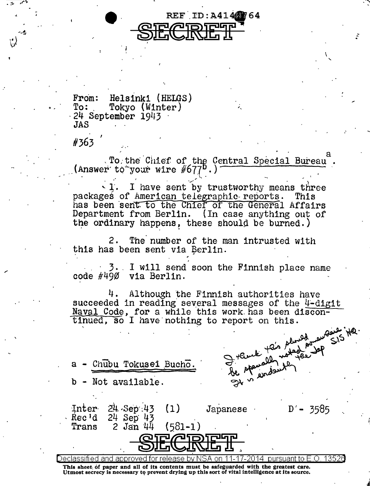

From: Helsinki (HELGS)<br>To: Tokyo (Winter) Tokyo (Winter) · 24 September *i9J.i* 3 ·  $JAS$ 

 $\ddot{\phantom{0}}$ 

#363

-  $\frac{1}{2}$ 

..

 $\begin{array}{c} a \\ b \end{array}$ .  $\frac{1}{2}$ . To the Chief of the Central Special Bureau .  $\frac{1}{2}$  (Answer to your wire  $\#677^0$ .)

I have sent by trustworthy means three<br>'American telegraphic reports. This packages of American telegraphic-reports. has been sent to the Chief of the General Affairs Department from Berlin. (In case anything out of the ordinary happens, these should be burned.)

2. The number of the man intrusted with this has been sent via Berlin.

' · 3. . I will send soon the Finnish place name code #490 via Berlin.

4. Although the Finnish authorities have succeeded in reading several messages of the 4-digit Naval Code, for a while this work has been discontinued, so I have nothing to report on this.

Japanese

 $S/5$   $HQ$ .  $\sim$  should engine  $\le$  15 Here.  $a -$  Chubu Tokuse1 Bucho.  $a + b$  the rate of  $a - \frac{Chubu \text{ Tokusel Bucho.}}{b - \text{Not available.}}$ 

35'85

' ,;

'

.-

24 Sep 43

24 Sep 43

 $2$  Jan  $44$ 

Inter·  $Rec'd$ Trans

Declassified and approved for release by NSA on 11-17-2014 pursuant to E .0. 1352a This sheet of paper and all of its contents must be safeguarded with the greatest care. Utmost secrecy is necessary *to* prevent drying up this sort of vital intelligence at its source.

 $(1)$ 

 $(581 - 1)$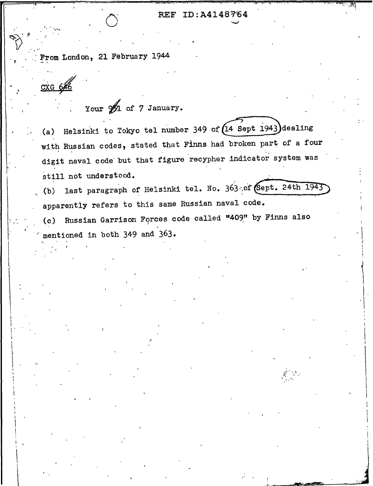## REF ID:A4148764

From London, 21 February 1944

cxg 64

Your  $\frac{1}{2}$  of 7 January.

Helsinki to Tokyo tel number 349 of  $(14$  Sept 1943) dealing  $(a)$ with Russian codes, stated that Finns had broken part of a four digit naval code but that figure recypher indicator system was still not understood.

last paragraph of Helsinki tel. No. 363 of (Sept. 24th 1943)  $(b)$ apparently refers to this same Russian naval code.

Russian Garrison Forces code called "409" by Finns also  $(c)$ mentioned in both 349 and 363.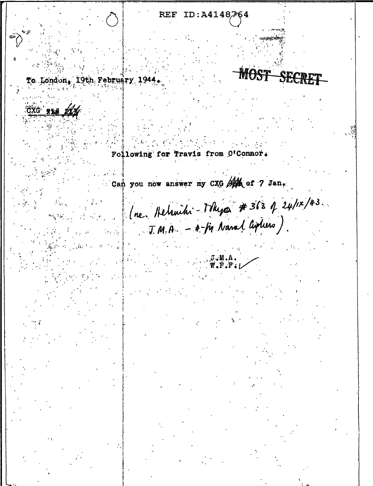ID:A4148764 **REF MOST SECT** To London, 19th February 1944. CXG XXX A Following for Travis from O'Connor. Can you now answer my CXG Ath of 7 Jan. le luc. Helsnihi - Thypa # 363 p 24/1x/43.  $T.M.A. - 4- f\eta$  Nanal Cipturs).